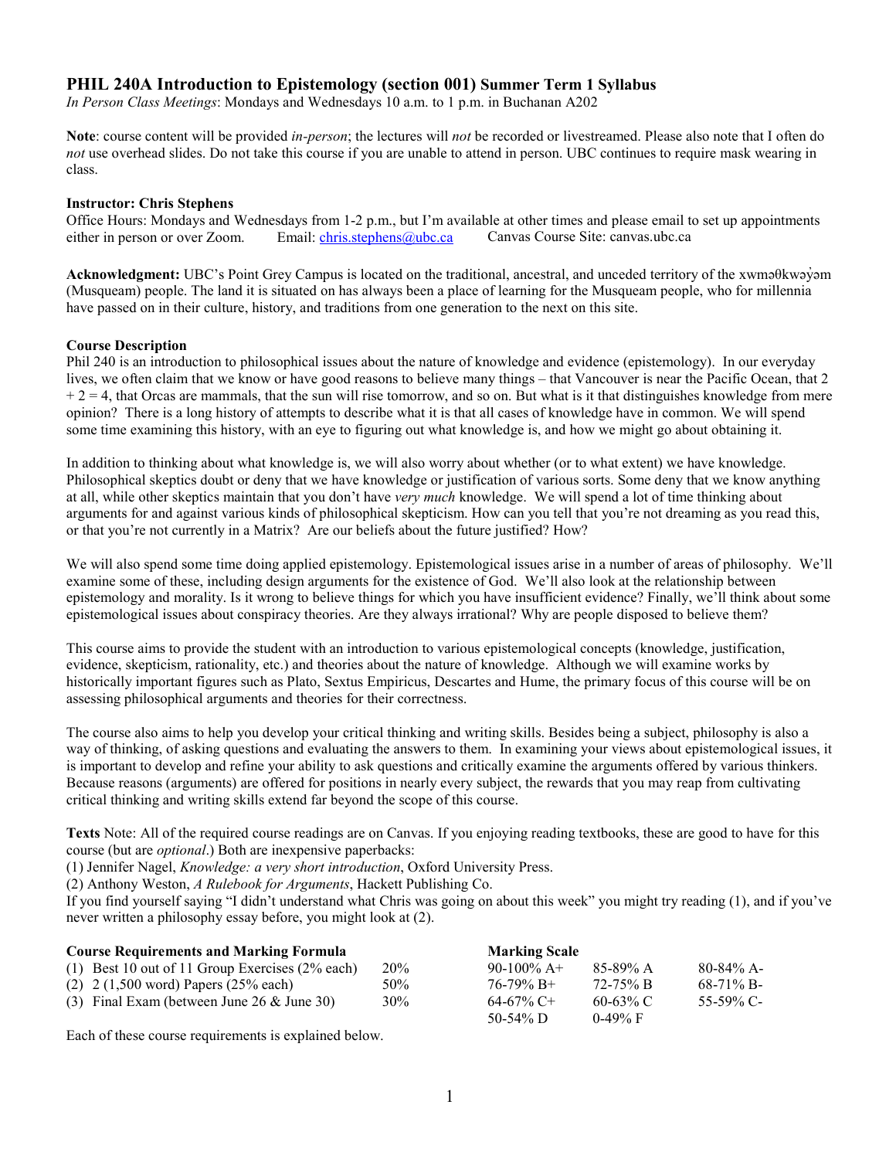## **PHIL 240A Introduction to Epistemology (section 001) Summer Term 1 Syllabus**

*In Person Class Meetings*: Mondays and Wednesdays 10 a.m. to 1 p.m. in Buchanan A202

**Note**: course content will be provided *in-person*; the lectures will *not* be recorded or livestreamed. Please also note that I often do *not* use overhead slides. Do not take this course if you are unable to attend in person. UBC continues to require mask wearing in class.

#### **Instructor: Chris Stephens**

Office Hours: Mondays and Wednesdays from 1-2 p.m., but I'm available at other times and please email to set up appointments either in person or over Zoom. Email: chris.stephens@ubc.ca Canvas Course Site: canvas.ubc.ca either in person or over Zoom. Email: [chris.stephens@ubc.ca](mailto:chris.stephens@ubc.ca) Canvas Course Site: canvas.ubc.ca

**Acknowledgment:** UBC's Point Grey Campus is located on the traditional, ancestral, and unceded territory of the xwməθkwəy̓əm (Musqueam) people. The land it is situated on has always been a place of learning for the Musqueam people, who for millennia have passed on in their culture, history, and traditions from one generation to the next on this site.

#### **Course Description**

Phil 240 is an introduction to philosophical issues about the nature of knowledge and evidence (epistemology). In our everyday lives, we often claim that we know or have good reasons to believe many things – that Vancouver is near the Pacific Ocean, that 2  $+ 2 = 4$ , that Orcas are mammals, that the sun will rise tomorrow, and so on. But what is it that distinguishes knowledge from mere opinion? There is a long history of attempts to describe what it is that all cases of knowledge have in common. We will spend some time examining this history, with an eye to figuring out what knowledge is, and how we might go about obtaining it.

In addition to thinking about what knowledge is, we will also worry about whether (or to what extent) we have knowledge. Philosophical skeptics doubt or deny that we have knowledge or justification of various sorts. Some deny that we know anything at all, while other skeptics maintain that you don't have *very much* knowledge. We will spend a lot of time thinking about arguments for and against various kinds of philosophical skepticism. How can you tell that you're not dreaming as you read this, or that you're not currently in a Matrix? Are our beliefs about the future justified? How?

We will also spend some time doing applied epistemology. Epistemological issues arise in a number of areas of philosophy. We'll examine some of these, including design arguments for the existence of God. We'll also look at the relationship between epistemology and morality. Is it wrong to believe things for which you have insufficient evidence? Finally, we'll think about some epistemological issues about conspiracy theories. Are they always irrational? Why are people disposed to believe them?

This course aims to provide the student with an introduction to various epistemological concepts (knowledge, justification, evidence, skepticism, rationality, etc.) and theories about the nature of knowledge. Although we will examine works by historically important figures such as Plato, Sextus Empiricus, Descartes and Hume, the primary focus of this course will be on assessing philosophical arguments and theories for their correctness.

The course also aims to help you develop your critical thinking and writing skills. Besides being a subject, philosophy is also a way of thinking, of asking questions and evaluating the answers to them. In examining your views about epistemological issues, it is important to develop and refine your ability to ask questions and critically examine the arguments offered by various thinkers. Because reasons (arguments) are offered for positions in nearly every subject, the rewards that you may reap from cultivating critical thinking and writing skills extend far beyond the scope of this course.

**Texts** Note: All of the required course readings are on Canvas. If you enjoying reading textbooks, these are good to have for this course (but are *optional*.) Both are inexpensive paperbacks:

(1) Jennifer Nagel, *Knowledge: a very short introduction*, Oxford University Press.

(2) Anthony Weston, *A Rulebook for Arguments*, Hackett Publishing Co.

If you find yourself saying "I didn't understand what Chris was going on about this week" you might try reading (1), and if you've never written a philosophy essay before, you might look at (2).

| <b>Course Requirements and Marking Formula</b>              |            | <b>Marking Scale</b> |             |              |
|-------------------------------------------------------------|------------|----------------------|-------------|--------------|
| (1) Best 10 out of 11 Group Exercises $(2\%$ each)          | <b>20%</b> | 90-100\% A+          | $85-89\% A$ | $80-84\%$ A- |
| $(2)$ 2 $(1,500 \text{ word})$ Papers $(25\% \text{ each})$ | 50%        | $76-79\% \text{ B}+$ | 72-75% B    | $68-71\%$ B- |
| (3) Final Exam (between June 26 $&$ June 30)                | 30%        | $64-67\%$ C+         | 60-63% C    | 55-59% C-    |
|                                                             |            | 50-54% D             | $0.49\%$ F  |              |

Each of these course requirements is explained below.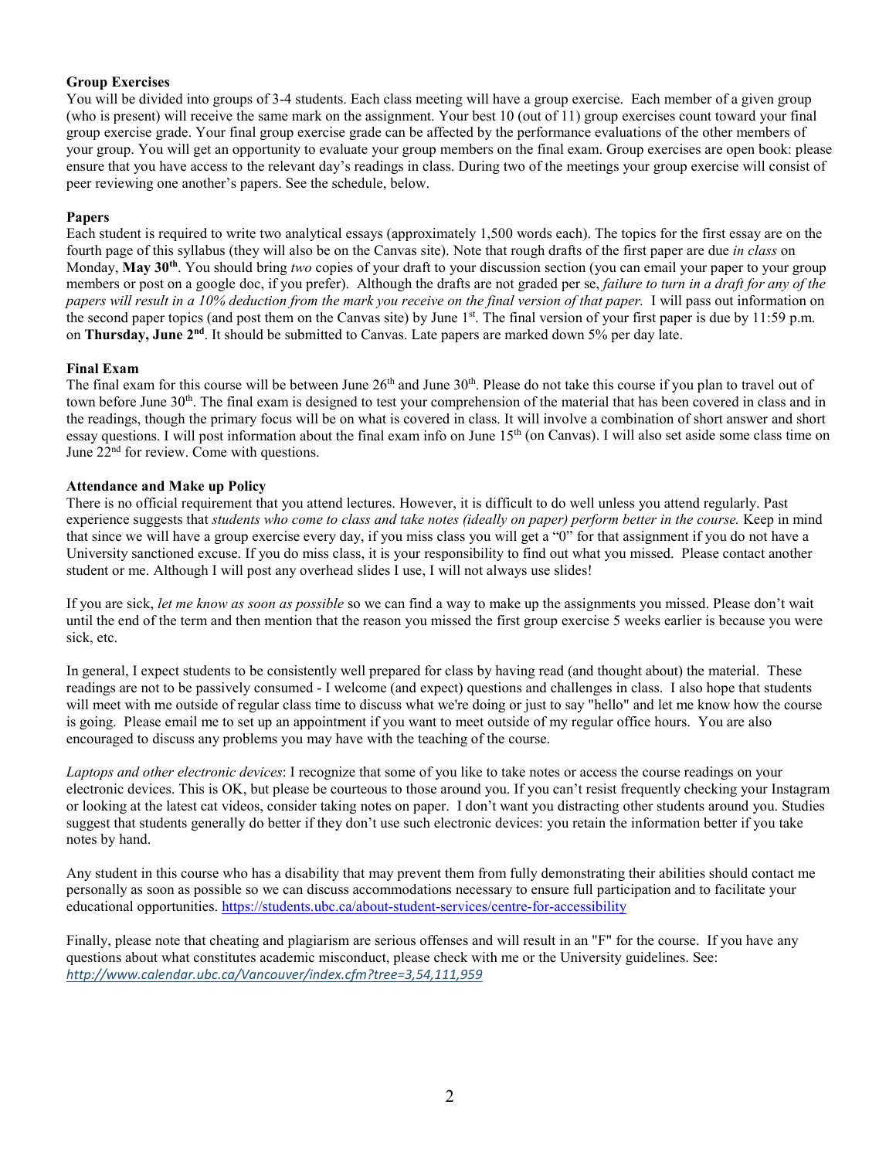## **Group Exercises**

You will be divided into groups of 3-4 students. Each class meeting will have a group exercise. Each member of a given group (who is present) will receive the same mark on the assignment. Your best 10 (out of 11) group exercises count toward your final group exercise grade. Your final group exercise grade can be affected by the performance evaluations of the other members of your group. You will get an opportunity to evaluate your group members on the final exam. Group exercises are open book: please ensure that you have access to the relevant day's readings in class. During two of the meetings your group exercise will consist of peer reviewing one another's papers. See the schedule, below.

#### **Papers**

Each student is required to write two analytical essays (approximately 1,500 words each). The topics for the first essay are on the fourth page of this syllabus (they will also be on the Canvas site). Note that rough drafts of the first paper are due *in class* on Monday, **May 30th**. You should bring *two* copies of your draft to your discussion section (you can email your paper to your group members or post on a google doc, if you prefer). Although the drafts are not graded per se, *failure to turn in a draft for any of the papers will result in a 10% deduction from the mark you receive on the final version of that paper.* I will pass out information on the second paper topics (and post them on the Canvas site) by June 1<sup>st</sup>. The final version of your first paper is due by 11:59 p.m. on **Thursday, June 2nd**. It should be submitted to Canvas. Late papers are marked down 5% per day late.

#### **Final Exam**

The final exam for this course will be between June  $26<sup>th</sup>$  and June  $30<sup>th</sup>$ . Please do not take this course if you plan to travel out of town before June 30<sup>th</sup>. The final exam is designed to test your comprehension of the material that has been covered in class and in the readings, though the primary focus will be on what is covered in class. It will involve a combination of short answer and short essay questions. I will post information about the final exam info on June 15<sup>th</sup> (on Canvas). I will also set aside some class time on June  $22<sup>nd</sup>$  for review. Come with questions.

#### **Attendance and Make up Policy**

There is no official requirement that you attend lectures. However, it is difficult to do well unless you attend regularly. Past experience suggests that *students who come to class and take notes (ideally on paper) perform better in the course.* Keep in mind that since we will have a group exercise every day, if you miss class you will get a "0" for that assignment if you do not have a University sanctioned excuse. If you do miss class, it is your responsibility to find out what you missed. Please contact another student or me. Although I will post any overhead slides I use, I will not always use slides!

If you are sick, *let me know as soon as possible* so we can find a way to make up the assignments you missed. Please don't wait until the end of the term and then mention that the reason you missed the first group exercise 5 weeks earlier is because you were sick, etc.

In general, I expect students to be consistently well prepared for class by having read (and thought about) the material. These readings are not to be passively consumed - I welcome (and expect) questions and challenges in class. I also hope that students will meet with me outside of regular class time to discuss what we're doing or just to say "hello" and let me know how the course is going. Please email me to set up an appointment if you want to meet outside of my regular office hours. You are also encouraged to discuss any problems you may have with the teaching of the course.

*Laptops and other electronic devices*: I recognize that some of you like to take notes or access the course readings on your electronic devices. This is OK, but please be courteous to those around you. If you can't resist frequently checking your Instagram or looking at the latest cat videos, consider taking notes on paper. I don't want you distracting other students around you. Studies suggest that students generally do better if they don't use such electronic devices: you retain the information better if you take notes by hand.

Any student in this course who has a disability that may prevent them from fully demonstrating their abilities should contact me personally as soon as possible so we can discuss accommodations necessary to ensure full participation and to facilitate your educational opportunities[. https://students.ubc.ca/about-student-services/centre-for-accessibility](https://students.ubc.ca/about-student-services/centre-for-accessibility)

Finally, please note that cheating and plagiarism are serious offenses and will result in an "F" for the course. If you have any questions about what constitutes academic misconduct, please check with me or the University guidelines. See: *<http://www.calendar.ubc.ca/Vancouver/index.cfm?tree=3,54,111,959>*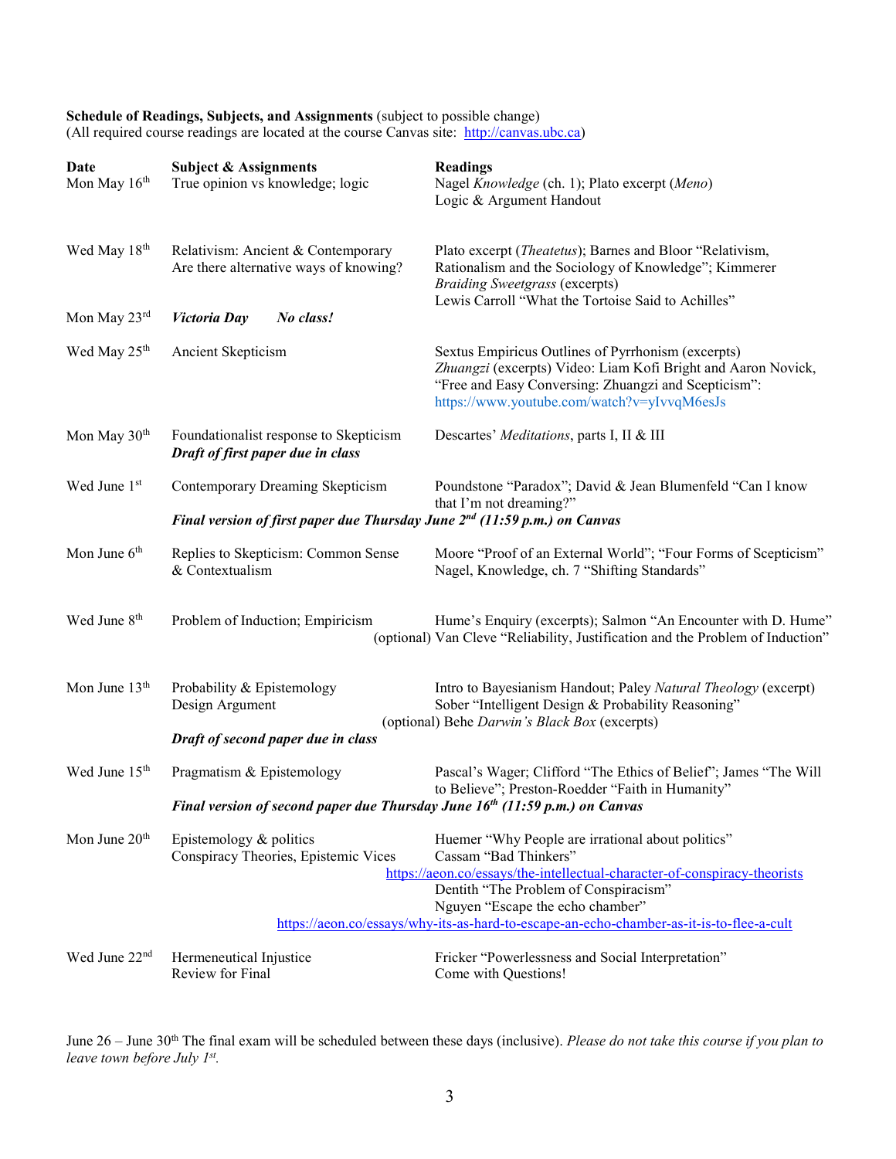# **Schedule of Readings, Subjects, and Assignments** (subject to possible change)

(All required course readings are located at the course Canvas site: [http://canvas.ubc.ca\)](http://canvas.ubc.ca/)

| Date<br>Mon May 16th      | <b>Subject &amp; Assignments</b><br>True opinion vs knowledge; logic                    | <b>Readings</b><br>Nagel Knowledge (ch. 1); Plato excerpt (Meno)<br>Logic & Argument Handout                                                                                                                                         |
|---------------------------|-----------------------------------------------------------------------------------------|--------------------------------------------------------------------------------------------------------------------------------------------------------------------------------------------------------------------------------------|
| Wed May 18 <sup>th</sup>  | Relativism: Ancient & Contemporary<br>Are there alternative ways of knowing?            | Plato excerpt (Theatetus); Barnes and Bloor "Relativism,<br>Rationalism and the Sociology of Knowledge"; Kimmerer<br><b>Braiding Sweetgrass (excerpts)</b><br>Lewis Carroll "What the Tortoise Said to Achilles"                     |
| Mon May 23rd              | Victoria Day<br>No class!                                                               |                                                                                                                                                                                                                                      |
| Wed May 25 <sup>th</sup>  | Ancient Skepticism                                                                      | Sextus Empiricus Outlines of Pyrrhonism (excerpts)<br>Zhuangzi (excerpts) Video: Liam Kofi Bright and Aaron Novick,<br>"Free and Easy Conversing: Zhuangzi and Scepticism":<br>https://www.youtube.com/watch?v=yIvvqM6esJs           |
| Mon May $30th$            | Foundationalist response to Skepticism<br>Draft of first paper due in class             | Descartes' Meditations, parts I, II & III                                                                                                                                                                                            |
| Wed June 1st              | Contemporary Dreaming Skepticism                                                        | Poundstone "Paradox"; David & Jean Blumenfeld "Can I know<br>that I'm not dreaming?"                                                                                                                                                 |
|                           | Final version of first paper due Thursday June $2^{nd}$ (11:59 p.m.) on Canvas          |                                                                                                                                                                                                                                      |
| Mon June 6 <sup>th</sup>  | Replies to Skepticism: Common Sense<br>& Contextualism                                  | Moore "Proof of an External World"; "Four Forms of Scepticism"<br>Nagel, Knowledge, ch. 7 "Shifting Standards"                                                                                                                       |
| Wed June 8 <sup>th</sup>  | Problem of Induction; Empiricism                                                        | Hume's Enquiry (excerpts); Salmon "An Encounter with D. Hume"<br>(optional) Van Cleve "Reliability, Justification and the Problem of Induction"                                                                                      |
| Mon June 13 <sup>th</sup> | Probability & Epistemology<br>Design Argument                                           | Intro to Bayesianism Handout; Paley Natural Theology (excerpt)<br>Sober "Intelligent Design & Probability Reasoning"<br>(optional) Behe Darwin's Black Box (excerpts)                                                                |
|                           | Draft of second paper due in class                                                      |                                                                                                                                                                                                                                      |
| Wed June 15 <sup>th</sup> | Pragmatism & Epistemology                                                               | Pascal's Wager; Clifford "The Ethics of Belief"; James "The Will<br>to Believe"; Preston-Roedder "Faith in Humanity"                                                                                                                 |
|                           | Final version of second paper due Thursday June 16 <sup>th</sup> (11:59 p.m.) on Canvas |                                                                                                                                                                                                                                      |
| Mon June $20th$           | Epistemology & politics<br>Conspiracy Theories, Epistemic Vices                         | Huemer "Why People are irrational about politics"<br>Cassam "Bad Thinkers"<br>https://aeon.co/essays/the-intellectual-character-of-conspiracy-theorists<br>Dentith "The Problem of Conspiracism"<br>Nguyen "Escape the echo chamber" |
|                           |                                                                                         | https://aeon.co/essays/why-its-as-hard-to-escape-an-echo-chamber-as-it-is-to-flee-a-cult                                                                                                                                             |
| Wed June 22nd             | Hermeneutical Injustice<br>Review for Final                                             | Fricker "Powerlessness and Social Interpretation"<br>Come with Questions!                                                                                                                                                            |

June 26 – June 30<sup>th</sup> The final exam will be scheduled between these days (inclusive). *Please do not take this course if you plan to leave town before July 1st.*